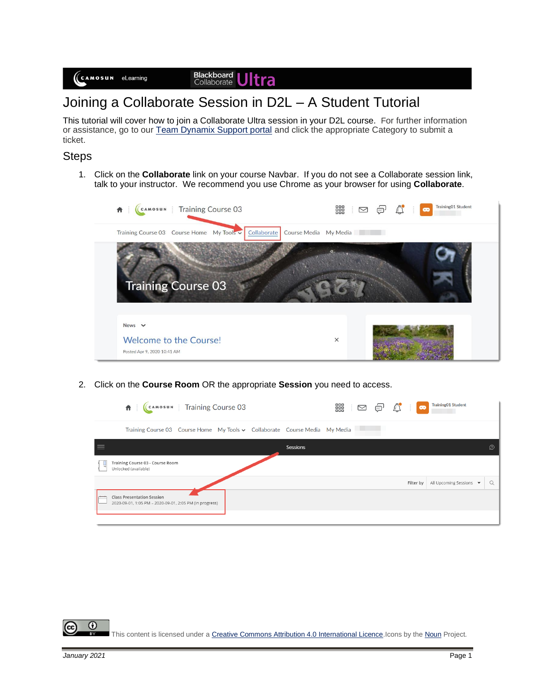Blackboard<br>Collaborate Jltra

## Joining a Collaborate Session in D2L – A Student Tutorial

This tutorial will cover how to join a Collaborate Ultra session in your D2L course. For further information or assistance, go to our [Team Dynamix Support portal](https://camosun.teamdynamix.com/TDClient/67/Portal/Requests/ServiceCatalog?CategoryID=524) and click the appropriate Category to submit a ticket.

## Steps

1. Click on the **Collaborate** link on your course Navbar. If you do not see a Collaborate session link, talk to your instructor. We recommend you use Chrome as your browser for using **Collaborate**.



2. Click on the **Course Room** OR the appropriate **Session** you need to access.

|                          | (CAMOSUN   Training Course 03<br>青土                                                          |          |  | ■ □ □ □ △ □ ● | <b>Training01 Student</b>                  |          |
|--------------------------|----------------------------------------------------------------------------------------------|----------|--|---------------|--------------------------------------------|----------|
|                          | Training Course 03 Course Home My Tools v Collaborate Course Media My Media                  |          |  |               |                                            |          |
|                          |                                                                                              | Sessions |  |               |                                            | $\Omega$ |
| $\Box$                   | Training Course 03 - Course Room<br>Unlocked (available)                                     |          |  |               |                                            |          |
|                          |                                                                                              |          |  | Filter by     | All Upcoming Sessions $\blacktriangledown$ | $\alpha$ |
| $\overline{\phantom{m}}$ | <b>Class Presentation Session</b><br>2020-09-01, 1:05 PM - 2020-09-01, 2:05 PM (in progress) |          |  |               |                                            |          |
|                          |                                                                                              |          |  |               |                                            |          |

 $_{\odot}$ This content is licensed under [a Creative Commons Attribution 4.0 International Licence.I](https://creativecommons.org/licenses/by/4.0/)cons by th[e Noun](https://creativecommons.org/website-icons/) Project.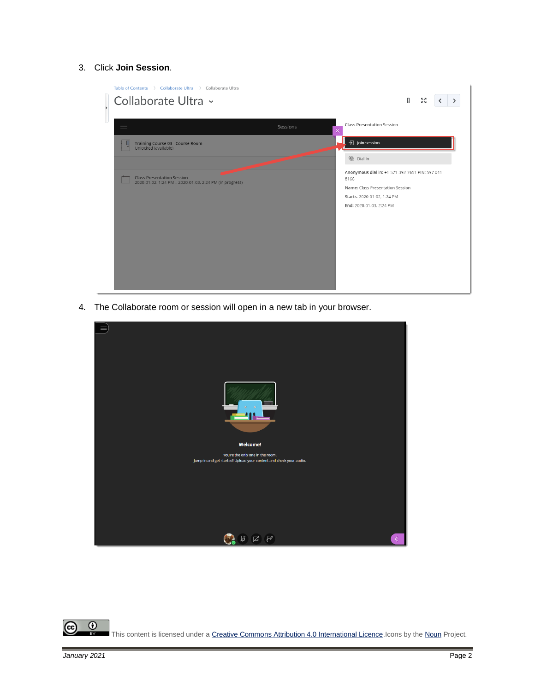## 3. Click **Join Session**.



4. The Collaborate room or session will open in a new tab in your browser.



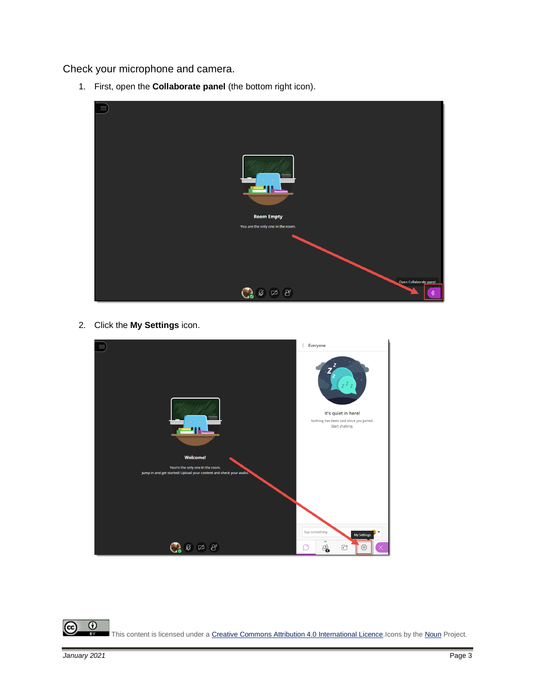Check your microphone and camera.

1. First, open the **Collaborate panel** (the bottom right icon).



2. Click the **My Settings** icon.



 $\odot$ (cc This content is licensed under [a Creative Commons Attribution 4.0 International Licence.I](https://creativecommons.org/licenses/by/4.0/)cons by th[e Noun](https://creativecommons.org/website-icons/) Project. **BY**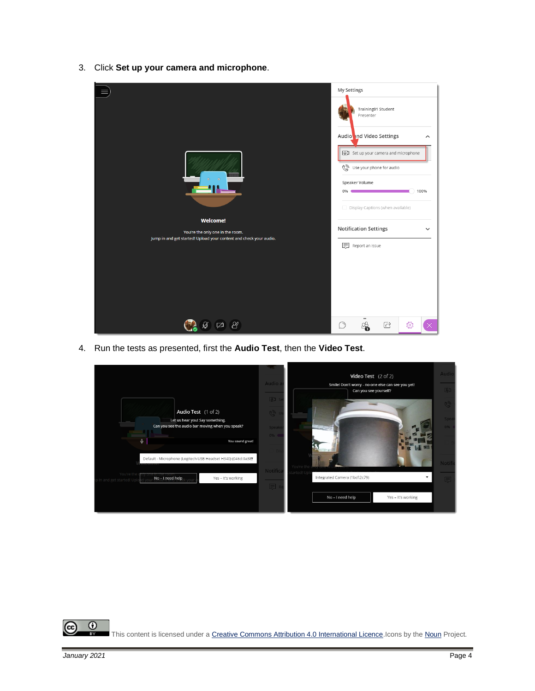3. Click **Set up your camera and microphone**.

| $\odot$<br><b>Welcome!</b><br>You're the only one in the room.<br>Jump in and get started! Upload your content and check your audio. | My Settings<br>Training01 Student<br>Presenter<br>Audio nd Video Settings<br>ㅅ<br>[0] Set up your camera and microphone<br>Use your phone for audio<br>Speaker Volume<br>100%<br>0% (<br>Display Captions (when available)<br><b>Notification Settings</b><br>$\check{ }$<br><b>E</b> Report an issue |
|--------------------------------------------------------------------------------------------------------------------------------------|-------------------------------------------------------------------------------------------------------------------------------------------------------------------------------------------------------------------------------------------------------------------------------------------------------|
| ₩                                                                                                                                    | $=$<br>छु<br>c                                                                                                                                                                                                                                                                                        |

4. Run the tests as presented, first the **Audio Test**, then the **Video Test**.

| Audio a<br>[0]<br>Audio Test (1 of 2)                                                                                                                                                        | <b>Video Test</b> $(2 \text{ of } 2)$<br>Smile! Don't worry - no one else can see you yet!<br>Can you see yourself? | <b>Audio</b><br><b>Q3</b><br>Q |
|----------------------------------------------------------------------------------------------------------------------------------------------------------------------------------------------|---------------------------------------------------------------------------------------------------------------------|--------------------------------|
| Let us hear you! Say something.<br>Can you see the audio bar moving when you speak?<br>Speake<br>0%<br>0<br>You sound great!<br>Default - Microphone (Logitech USB Headset H340) (046d:0a38) |                                                                                                                     | Spea<br>0%<br>Notifi           |
| Notifica<br>You're the<br>e incurre room<br>No - I need help<br>Yes - It's working<br>in and get started! Uplo                                                                               | tarted! Up<br>Integrated Camera (1bcf:2c79)<br>No-I need help<br>Yes - It's working                                 | $\equiv$                       |

 $\frac{0}{x}$ This content is licensed under [a Creative Commons Attribution 4.0 International Licence.I](https://creativecommons.org/licenses/by/4.0/)cons by th[e Noun](https://creativecommons.org/website-icons/) Project.

(cc)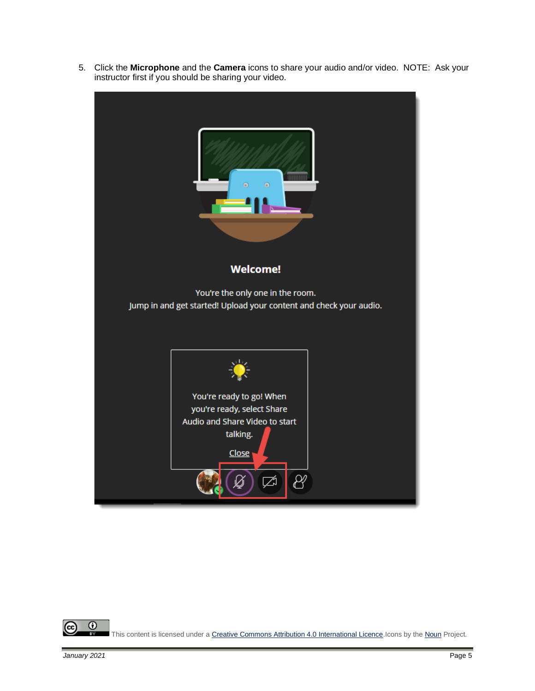5. Click the **Microphone** and the **Camera** icons to share your audio and/or video. NOTE: Ask your instructor first if you should be sharing your video.



 $\odot$ (cc) This content is licensed under [a Creative Commons Attribution 4.0 International Licence.I](https://creativecommons.org/licenses/by/4.0/)cons by th[e Noun](https://creativecommons.org/website-icons/) Project. вy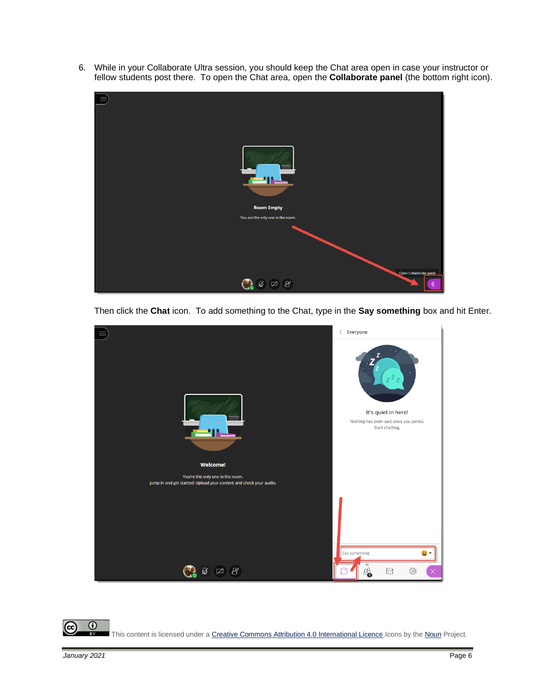6. While in your Collaborate Ultra session, you should keep the Chat area open in case your instructor or fellow students post there. To open the Chat area, open the **Collaborate panel** (the bottom right icon).



Then click the **Chat** icon. To add something to the Chat, type in the **Say something** box and hit Enter.



 $_{\odot}$ cc) This content is licensed under [a Creative Commons Attribution 4.0 International Licence.I](https://creativecommons.org/licenses/by/4.0/)cons by th[e Noun](https://creativecommons.org/website-icons/) Project. BY